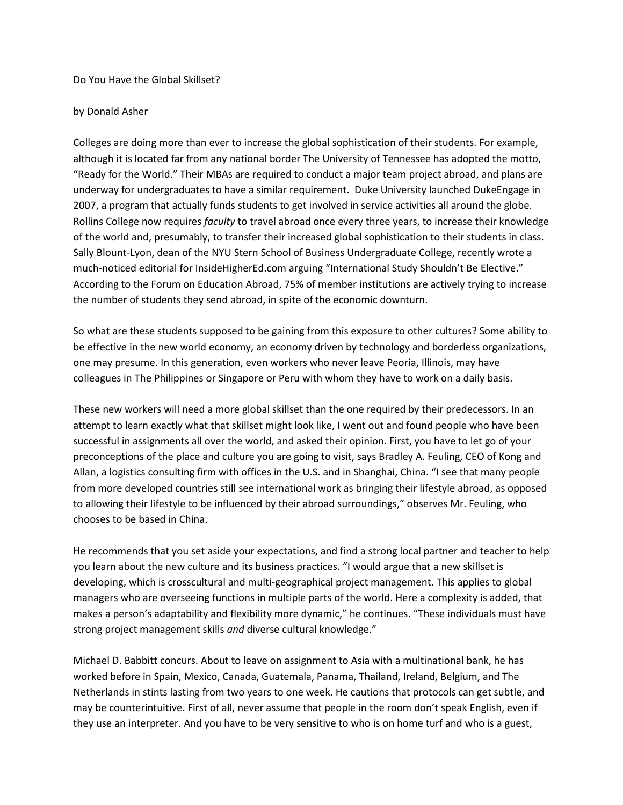Do You Have the Global Skillset?

## by Donald Asher

Colleges are doing more than ever to increase the global sophistication of their students. For example, although it is located far from any national border The University of Tennessee has adopted the motto, "Ready for the World." Their MBAs are required to conduct a major team project abroad, and plans are underway for undergraduates to have a similar requirement. Duke University launched DukeEngage in 2007, a program that actually funds students to get involved in service activities all around the globe. Rollins College now requires *faculty* to travel abroad once every three years, to increase their knowledge of the world and, presumably, to transfer their increased global sophistication to their students in class. Sally Blount-Lyon, dean of the NYU Stern School of Business Undergraduate College, recently wrote a much-noticed editorial for InsideHigherEd.com arguing "International Study Shouldn't Be Elective." According to the Forum on Education Abroad, 75% of member institutions are actively trying to increase the number of students they send abroad, in spite of the economic downturn.

So what are these students supposed to be gaining from this exposure to other cultures? Some ability to be effective in the new world economy, an economy driven by technology and borderless organizations, one may presume. In this generation, even workers who never leave Peoria, Illinois, may have colleagues in The Philippines or Singapore or Peru with whom they have to work on a daily basis.

These new workers will need a more global skillset than the one required by their predecessors. In an attempt to learn exactly what that skillset might look like, I went out and found people who have been successful in assignments all over the world, and asked their opinion. First, you have to let go of your preconceptions of the place and culture you are going to visit, says Bradley A. Feuling, CEO of Kong and Allan, a logistics consulting firm with offices in the U.S. and in Shanghai, China. "I see that many people from more developed countries still see international work as bringing their lifestyle abroad, as opposed to allowing their lifestyle to be influenced by their abroad surroundings," observes Mr. Feuling, who chooses to be based in China.

He recommends that you set aside your expectations, and find a strong local partner and teacher to help you learn about the new culture and its business practices. "I would argue that a new skillset is developing, which is crosscultural and multi-geographical project management. This applies to global managers who are overseeing functions in multiple parts of the world. Here a complexity is added, that makes a person's adaptability and flexibility more dynamic," he continues. "These individuals must have strong project management skills *and* diverse cultural knowledge."

Michael D. Babbitt concurs. About to leave on assignment to Asia with a multinational bank, he has worked before in Spain, Mexico, Canada, Guatemala, Panama, Thailand, Ireland, Belgium, and The Netherlands in stints lasting from two years to one week. He cautions that protocols can get subtle, and may be counterintuitive. First of all, never assume that people in the room don't speak English, even if they use an interpreter. And you have to be very sensitive to who is on home turf and who is a guest,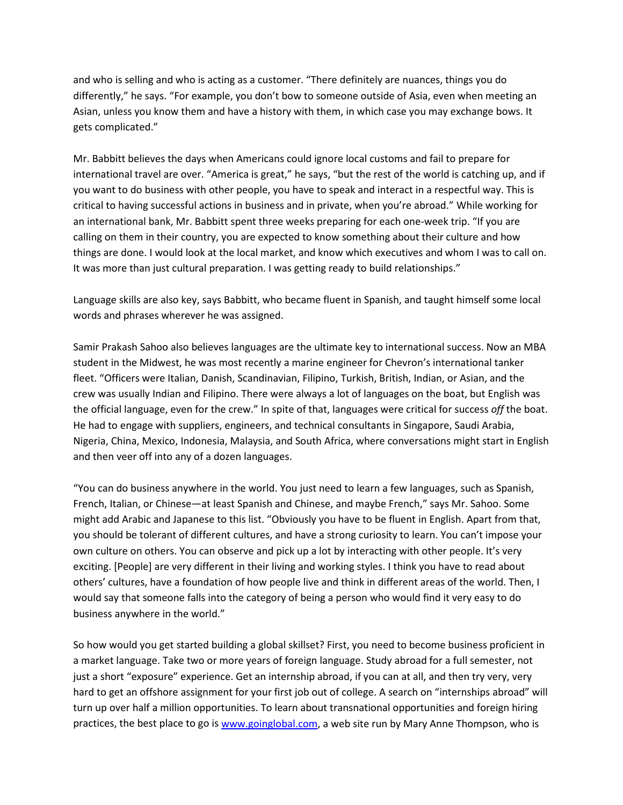and who is selling and who is acting as a customer. "There definitely are nuances, things you do differently," he says. "For example, you don't bow to someone outside of Asia, even when meeting an Asian, unless you know them and have a history with them, in which case you may exchange bows. It gets complicated."

Mr. Babbitt believes the days when Americans could ignore local customs and fail to prepare for international travel are over. "America is great," he says, "but the rest of the world is catching up, and if you want to do business with other people, you have to speak and interact in a respectful way. This is critical to having successful actions in business and in private, when you're abroad." While working for an international bank, Mr. Babbitt spent three weeks preparing for each one-week trip. "If you are calling on them in their country, you are expected to know something about their culture and how things are done. I would look at the local market, and know which executives and whom I was to call on. It was more than just cultural preparation. I was getting ready to build relationships."

Language skills are also key, says Babbitt, who became fluent in Spanish, and taught himself some local words and phrases wherever he was assigned.

Samir Prakash Sahoo also believes languages are the ultimate key to international success. Now an MBA student in the Midwest, he was most recently a marine engineer for Chevron's international tanker fleet. "Officers were Italian, Danish, Scandinavian, Filipino, Turkish, British, Indian, or Asian, and the crew was usually Indian and Filipino. There were always a lot of languages on the boat, but English was the official language, even for the crew." In spite of that, languages were critical for success *off* the boat. He had to engage with suppliers, engineers, and technical consultants in Singapore, Saudi Arabia, Nigeria, China, Mexico, Indonesia, Malaysia, and South Africa, where conversations might start in English and then veer off into any of a dozen languages.

"You can do business anywhere in the world. You just need to learn a few languages, such as Spanish, French, Italian, or Chinese—at least Spanish and Chinese, and maybe French," says Mr. Sahoo. Some might add Arabic and Japanese to this list. "Obviously you have to be fluent in English. Apart from that, you should be tolerant of different cultures, and have a strong curiosity to learn. You can't impose your own culture on others. You can observe and pick up a lot by interacting with other people. It's very exciting. [People] are very different in their living and working styles. I think you have to read about others' cultures, have a foundation of how people live and think in different areas of the world. Then, I would say that someone falls into the category of being a person who would find it very easy to do business anywhere in the world."

So how would you get started building a global skillset? First, you need to become business proficient in a market language. Take two or more years of foreign language. Study abroad for a full semester, not just a short "exposure" experience. Get an internship abroad, if you can at all, and then try very, very hard to get an offshore assignment for your first job out of college. A search on "internships abroad" will turn up over half a million opportunities. To learn about transnational opportunities and foreign hiring practices, the best place to go i[s www.goinglobal.com,](http://www.goinglobal.com/) a web site run by Mary Anne Thompson, who is